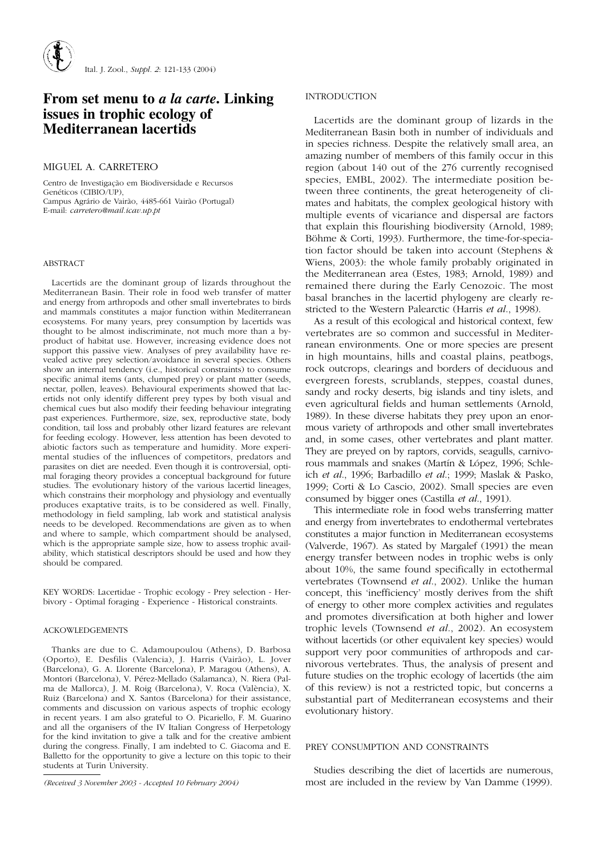# **From set menu to** *a la carte***. Linking issues in trophic ecology of Mediterranean lacertids**

## MIGUEL A. CARRETERO

Centro de Investigação em Biodiversidade e Recursos Genéticos (CIBIO/UP), Campus Agrário de Vairão, 4485-661 Vairão (Portugal) E-mail: *carretero@mail.icav.up.pt*

#### ABSTRACT

Lacertids are the dominant group of lizards throughout the Mediterranean Basin. Their role in food web transfer of matter and energy from arthropods and other small invertebrates to birds and mammals constitutes a major function within Mediterranean ecosystems. For many years, prey consumption by lacertids was thought to be almost indiscriminate, not much more than a byproduct of habitat use. However, increasing evidence does not support this passive view. Analyses of prey availability have revealed active prey selection/avoidance in several species. Others show an internal tendency (i.e., historical constraints) to consume specific animal items (ants, clumped prey) or plant matter (seeds, nectar, pollen, leaves). Behavioural experiments showed that lacertids not only identify different prey types by both visual and chemical cues but also modify their feeding behaviour integrating past experiences. Furthermore, size, sex, reproductive state, body condition, tail loss and probably other lizard features are relevant for feeding ecology. However, less attention has been devoted to abiotic factors such as temperature and humidity. More experimental studies of the influences of competitors, predators and parasites on diet are needed. Even though it is controversial, optimal foraging theory provides a conceptual background for future studies. The evolutionary history of the various lacertid lineages, which constrains their morphology and physiology and eventually produces exaptative traits, is to be considered as well. Finally, methodology in field sampling, lab work and statistical analysis needs to be developed. Recommendations are given as to when and where to sample, which compartment should be analysed, which is the appropriate sample size, how to assess trophic availability, which statistical descriptors should be used and how they should be compared.

KEY WORDS: Lacertidae - Trophic ecology - Prey selection - Herbivory - Optimal foraging - Experience - Historical constraints.

## ACKOWLEDGEMENTS

Thanks are due to C. Adamoupoulou (Athens), D. Barbosa (Oporto), E. Desfilis (Valencia), J. Harris (Vairão), L. Jover (Barcelona), G. A. Llorente (Barcelona), P. Maragou (Athens), A. Montori (Barcelona), V. Pérez-Mellado (Salamanca), N. Riera (Palma de Mallorca), J. M. Roig (Barcelona), V. Roca (València), X. Ruiz (Barcelona) and X. Santos (Barcelona) for their assistance, comments and discussion on various aspects of trophic ecology in recent years. I am also grateful to O. Picariello, F. M. Guarino and all the organisers of the IV Italian Congress of Herpetology for the kind invitation to give a talk and for the creative ambient during the congress. Finally, I am indebted to C. Giacoma and E. Balletto for the opportunity to give a lecture on this topic to their students at Turin University.

## INTRODUCTION

Lacertids are the dominant group of lizards in the Mediterranean Basin both in number of individuals and in species richness. Despite the relatively small area, an amazing number of members of this family occur in this region (about 140 out of the 276 currently recognised species, EMBL, 2002). The intermediate position between three continents, the great heterogeneity of climates and habitats, the complex geological history with multiple events of vicariance and dispersal are factors that explain this flourishing biodiversity (Arnold, 1989; Böhme & Corti, 1993). Furthermore, the time-for-speciation factor should be taken into account (Stephens & Wiens, 2003): the whole family probably originated in the Mediterranean area (Estes, 1983; Arnold, 1989) and remained there during the Early Cenozoic. The most basal branches in the lacertid phylogeny are clearly restricted to the Western Palearctic (Harris *et al*., 1998).

As a result of this ecological and historical context, few vertebrates are so common and successful in Mediterranean environments. One or more species are present in high mountains, hills and coastal plains, peatbogs, rock outcrops, clearings and borders of deciduous and evergreen forests, scrublands, steppes, coastal dunes, sandy and rocky deserts, big islands and tiny islets, and even agricultural fields and human settlements (Arnold, 1989). In these diverse habitats they prey upon an enormous variety of arthropods and other small invertebrates and, in some cases, other vertebrates and plant matter. They are preyed on by raptors, corvids, seagulls, carnivorous mammals and snakes (Martín & López, 1996; Schleich *et al*., 1996; Barbadillo *et al*.; 1999; Maslak & Pasko, 1999; Corti & Lo Cascio, 2002). Small species are even consumed by bigger ones (Castilla *et al*., 1991).

This intermediate role in food webs transferring matter and energy from invertebrates to endothermal vertebrates constitutes a major function in Mediterranean ecosystems (Valverde, 1967). As stated by Margalef (1991) the mean energy transfer between nodes in trophic webs is only about 10%, the same found specifically in ectothermal vertebrates (Townsend *et al*., 2002). Unlike the human concept, this 'inefficiency' mostly derives from the shift of energy to other more complex activities and regulates and promotes diversification at both higher and lower trophic levels (Townsend *et al*., 2002). An ecosystem without lacertids (or other equivalent key species) would support very poor communities of arthropods and carnivorous vertebrates. Thus, the analysis of present and future studies on the trophic ecology of lacertids (the aim of this review) is not a restricted topic, but concerns a substantial part of Mediterranean ecosystems and their evolutionary history.

#### PREY CONSUMPTION AND CONSTRAINTS

Studies describing the diet of lacertids are numerous, *(Received 3 November 2003 - Accepted 10 February 2004)* most are included in the review by Van Damme (1999).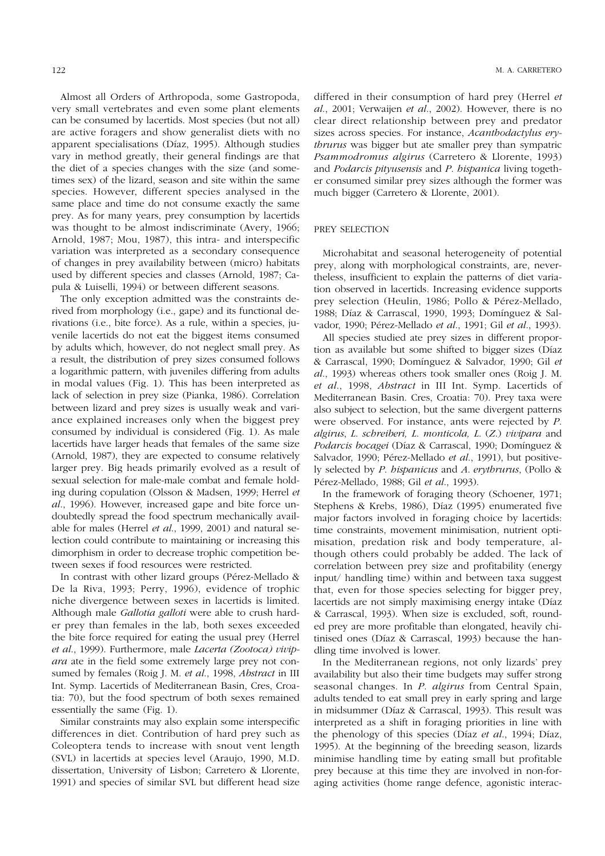Almost all Orders of Arthropoda, some Gastropoda, very small vertebrates and even some plant elements can be consumed by lacertids. Most species (but not all) are active foragers and show generalist diets with no apparent specialisations (Díaz, 1995). Although studies vary in method greatly, their general findings are that the diet of a species changes with the size (and sometimes sex) of the lizard, season and site within the same species. However, different species analysed in the same place and time do not consume exactly the same prey. As for many years, prey consumption by lacertids was thought to be almost indiscriminate (Avery, 1966; Arnold, 1987; Mou, 1987), this intra- and interspecific variation was interpreted as a secondary consequence of changes in prey availability between (micro) habitats used by different species and classes (Arnold, 1987; Capula & Luiselli, 1994) or between different seasons.

The only exception admitted was the constraints derived from morphology (i.e., gape) and its functional derivations (i.e., bite force). As a rule, within a species, juvenile lacertids do not eat the biggest items consumed by adults which, however, do not neglect small prey. As a result, the distribution of prey sizes consumed follows a logarithmic pattern, with juveniles differing from adults in modal values (Fig. 1). This has been interpreted as lack of selection in prey size (Pianka, 1986). Correlation between lizard and prey sizes is usually weak and variance explained increases only when the biggest prey consumed by individual is considered (Fig. 1). As male lacertids have larger heads that females of the same size (Arnold, 1987), they are expected to consume relatively larger prey. Big heads primarily evolved as a result of sexual selection for male-male combat and female holding during copulation (Olsson & Madsen, 1999; Herrel *et al*., 1996). However, increased gape and bite force undoubtedly spread the food spectrum mechanically available for males (Herrel *et al*., 1999, 2001) and natural selection could contribute to maintaining or increasing this dimorphism in order to decrease trophic competition between sexes if food resources were restricted.

In contrast with other lizard groups (Pérez-Mellado & De la Riva, 1993; Perry, 1996), evidence of trophic niche divergence between sexes in lacertids is limited. Although male *Gallotia galloti* were able to crush harder prey than females in the lab, both sexes exceeded the bite force required for eating the usual prey (Herrel *et al*., 1999). Furthermore, male *Lacerta (Zootoca) vivipara* ate in the field some extremely large prey not consumed by females (Roig J. M. *et al*., 1998, *Abstract* in III Int. Symp. Lacertids of Mediterranean Basin, Cres, Croatia: 70), but the food spectrum of both sexes remained essentially the same (Fig. 1).

Similar constraints may also explain some interspecific differences in diet. Contribution of hard prey such as Coleoptera tends to increase with snout vent length (SVL) in lacertids at species level (Araujo, 1990, M.D. dissertation, University of Lisbon; Carretero & Llorente, 1991) and species of similar SVL but different head size

differed in their consumption of hard prey (Herrel *et al*., 2001; Verwaijen *et al*., 2002). However, there is no clear direct relationship between prey and predator sizes across species. For instance, *Acanthodactylus erythrurus* was bigger but ate smaller prey than sympatric *Psammodromus algirus* (Carretero & Llorente, 1993) and *Podarcis pityusensis* and *P*. *hispanica* living together consumed similar prey sizes although the former was much bigger (Carretero & Llorente, 2001).

## PREY SELECTION

Microhabitat and seasonal heterogeneity of potential prey, along with morphological constraints, are, nevertheless, insufficient to explain the patterns of diet variation observed in lacertids. Increasing evidence supports prey selection (Heulin, 1986; Pollo & Pérez-Mellado, 1988; Díaz & Carrascal, 1990, 1993; Domínguez & Salvador, 1990; Pérez-Mellado *et al*., 1991; Gil *et al*., 1993).

All species studied ate prey sizes in different proportion as available but some shifted to bigger sizes (Díaz & Carrascal, 1990; Domínguez & Salvador, 1990; Gil *et al*., 1993) whereas others took smaller ones (Roig J. M. *et al*., 1998, *Abstract* in III Int. Symp. Lacertids of Mediterranean Basin. Cres, Croatia: 70). Prey taxa were also subject to selection, but the same divergent patterns were observed. For instance, ants were rejected by *P*. *algirus*, *L*. *schreiberi, L*. *monticola, L*. (*Z*.) *vivipara* and *Podarcis bocagei* (Díaz & Carrascal, 1990; Domínguez & Salvador, 1990; Pérez-Mellado *et al*., 1991), but positively selected by *P*. *hispanicus* and *A*. *erythrurus*, (Pollo & Pérez-Mellado, 1988; Gil *et al*., 1993).

In the framework of foraging theory (Schoener, 1971; Stephens & Krebs, 1986), Díaz (1995) enumerated five major factors involved in foraging choice by lacertids: time constraints, movement minimisation, nutrient optimisation, predation risk and body temperature, although others could probably be added. The lack of correlation between prey size and profitability (energy input/ handling time) within and between taxa suggest that, even for those species selecting for bigger prey, lacertids are not simply maximising energy intake (Díaz & Carrascal, 1993). When size is excluded, soft, rounded prey are more profitable than elongated, heavily chitinised ones (Díaz & Carrascal, 1993) because the handling time involved is lower.

In the Mediterranean regions, not only lizards' prey availability but also their time budgets may suffer strong seasonal changes. In *P*. *algirus* from Central Spain, adults tended to eat small prey in early spring and large in midsummer (Díaz & Carrascal, 1993). This result was interpreted as a shift in foraging priorities in line with the phenology of this species (Díaz *et al*., 1994; Díaz, 1995). At the beginning of the breeding season, lizards minimise handling time by eating small but profitable prey because at this time they are involved in non-foraging activities (home range defence, agonistic interac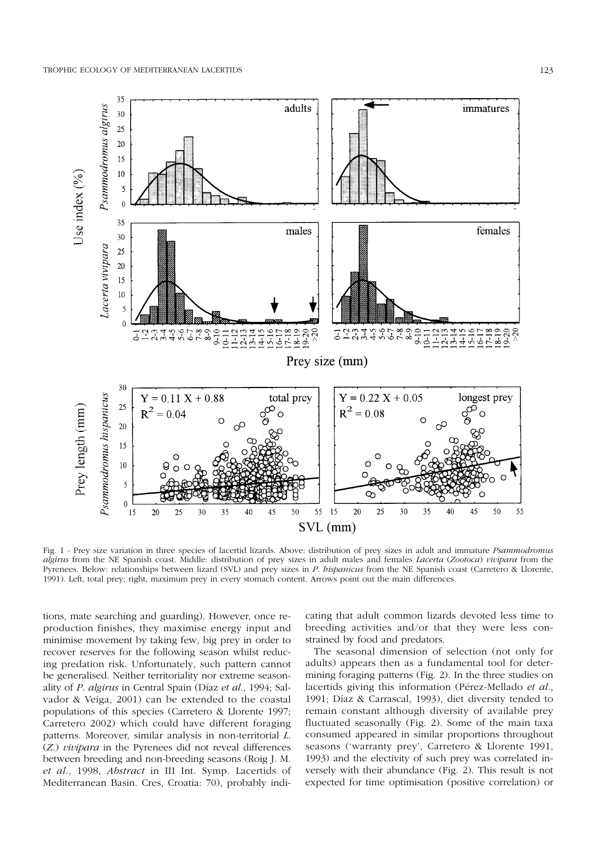35





adults

Fig. 1 - Prey size variation in three species of lacertid lizards. Above: distribution of prey sizes in adult and immature *Psammodromus algirus* from the NE Spanish coast. Middle: distribution of prey sizes in adult males and females *Lacerta* (*Zootoca*) *vivipara* from the Pyrenees. Below: relationships between lizard (SVL) and prey sizes in *P*. *hispanicus* from the NE Spanish coast (Carretero & Llorente, 1991). Left, total prey; right, maximum prey in every stomach content. Arrows point out the main differences.

tions, mate searching and guarding). However, once reproduction finishes, they maximise energy input and minimise movement by taking few, big prey in order to recover reserves for the following season whilst reducing predation risk. Unfortunately, such pattern cannot be generalised. Neither territoriality nor extreme seasonality of *P*. *algirus* in Central Spain (Díaz *et al*., 1994; Salvador & Veiga, 2001) can be extended to the coastal populations of this species (Carretero & Llorente 1997; Carretero 2002) which could have different foraging patterns. Moreover, similar analysis in non-territorial *L*. (*Z*.) *vivipara* in the Pyrenees did not reveal differences between breeding and non-breeding seasons (Roig J. M. *et al*., 1998, *Abstract* in III Int. Symp. Lacertids of Mediterranean Basin. Cres, Croatia: 70), probably indicating that adult common lizards devoted less time to breeding activities and/or that they were less constrained by food and predators.

The seasonal dimension of selection (not only for adults) appears then as a fundamental tool for determining foraging patterns (Fig. 2). In the three studies on lacertids giving this information (Pérez-Mellado *et al*., 1991; Díaz & Carrascal, 1993), diet diversity tended to remain constant although diversity of available prey fluctuated seasonally (Fig. 2). Some of the main taxa consumed appeared in similar proportions throughout seasons ('warranty prey', Carretero & Llorente 1991, 1993) and the electivity of such prey was correlated inversely with their abundance (Fig. 2). This result is not expected for time optimisation (positive correlation) or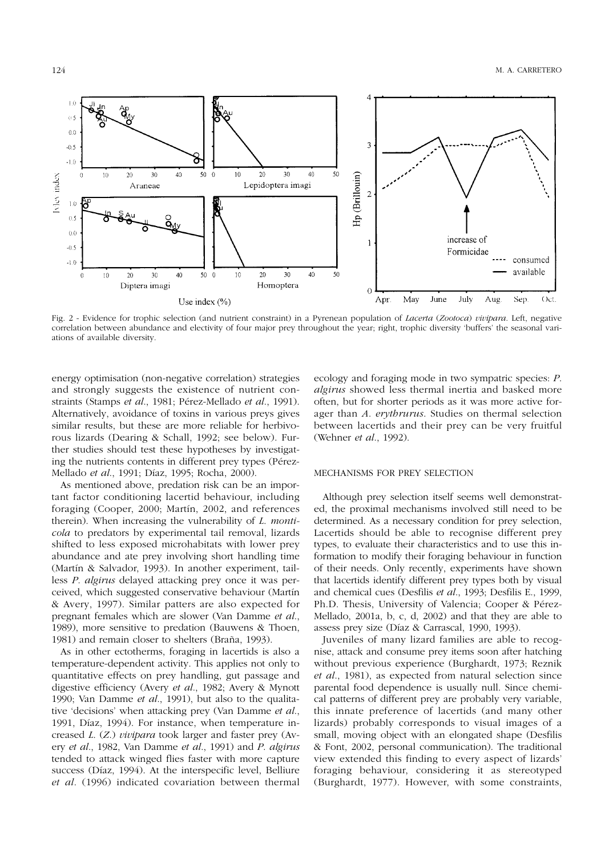

Fig. 2 - Evidence for trophic selection (and nutrient constraint) in a Pyrenean population of *Lacerta* (*Zootoca*) *vivipara*. Left, negative correlation between abundance and electivity of four major prey throughout the year; right, trophic diversity 'buffers' the seasonal variations of available diversity.

energy optimisation (non-negative correlation) strategies and strongly suggests the existence of nutrient constraints (Stamps *et al*., 1981; Pérez-Mellado *et al*., 1991). Alternatively, avoidance of toxins in various preys gives similar results, but these are more reliable for herbivorous lizards (Dearing & Schall, 1992; see below). Further studies should test these hypotheses by investigating the nutrients contents in different prey types (Pérez-Mellado *et al*., 1991; Díaz, 1995; Rocha, 2000).

As mentioned above, predation risk can be an important factor conditioning lacertid behaviour, including foraging (Cooper, 2000; Martín, 2002, and references therein). When increasing the vulnerability of *L*. *monticola* to predators by experimental tail removal, lizards shifted to less exposed microhabitats with lower prey abundance and ate prey involving short handling time (Martín & Salvador, 1993). In another experiment, tailless *P*. *algirus* delayed attacking prey once it was perceived, which suggested conservative behaviour (Martín & Avery, 1997). Similar patters are also expected for pregnant females which are slower (Van Damme *et al*., 1989), more sensitive to predation (Bauwens & Thoen, 1981) and remain closer to shelters (Braña, 1993).

As in other ectotherms, foraging in lacertids is also a temperature-dependent activity. This applies not only to quantitative effects on prey handling, gut passage and digestive efficiency (Avery *et al*., 1982; Avery & Mynott 1990; Van Damme *et al*., 1991), but also to the qualitative 'decisions' when attacking prey (Van Damme *et al*., 1991, Díaz, 1994). For instance, when temperature increased *L*. (*Z*.) *vivipara* took larger and faster prey (Avery *et al*., 1982, Van Damme *et al*., 1991) and *P*. *algirus* tended to attack winged flies faster with more capture success (Díaz, 1994). At the interspecific level, Belliure *et al*. (1996) indicated covariation between thermal

ecology and foraging mode in two sympatric species: *P*. *algirus* showed less thermal inertia and basked more often, but for shorter periods as it was more active forager than *A*. *erythrurus*. Studies on thermal selection between lacertids and their prey can be very fruitful (Wehner *et al*., 1992).

#### MECHANISMS FOR PREY SELECTION

Although prey selection itself seems well demonstrated, the proximal mechanisms involved still need to be determined. As a necessary condition for prey selection, Lacertids should be able to recognise different prey types, to evaluate their characteristics and to use this information to modify their foraging behaviour in function of their needs. Only recently, experiments have shown that lacertids identify different prey types both by visual and chemical cues (Desfilis *et al*., 1993; Desfilis E., 1999, Ph.D. Thesis, University of Valencia; Cooper & Pérez-Mellado, 2001a, b, c, d, 2002) and that they are able to assess prey size (Díaz & Carrascal, 1990, 1993).

Juveniles of many lizard families are able to recognise, attack and consume prey items soon after hatching without previous experience (Burghardt, 1973; Reznik *et al*., 1981), as expected from natural selection since parental food dependence is usually null. Since chemical patterns of different prey are probably very variable, this innate preference of lacertids (and many other lizards) probably corresponds to visual images of a small, moving object with an elongated shape (Desfilis & Font, 2002, personal communication). The traditional view extended this finding to every aspect of lizards' foraging behaviour, considering it as stereotyped (Burghardt, 1977). However, with some constraints,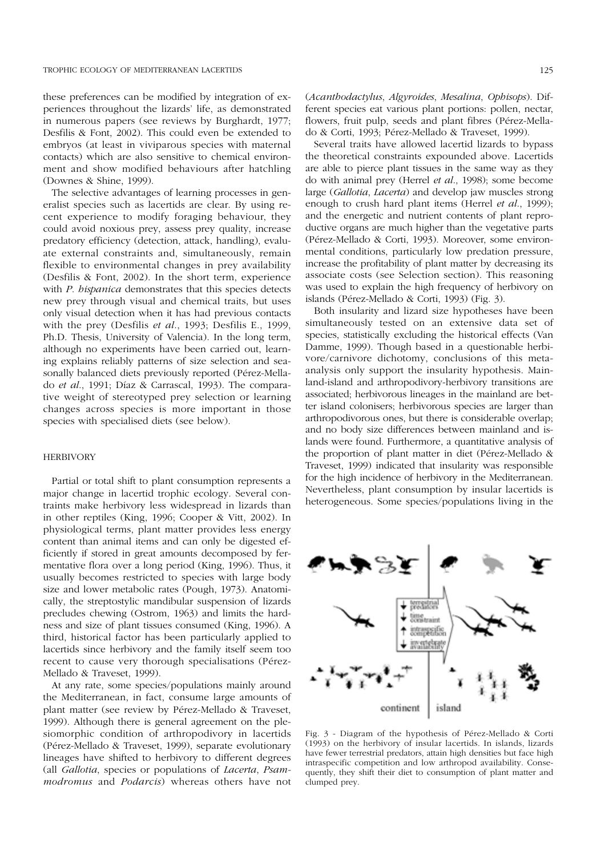these preferences can be modified by integration of experiences throughout the lizards' life, as demonstrated in numerous papers (see reviews by Burghardt, 1977; Desfilis & Font, 2002). This could even be extended to embryos (at least in viviparous species with maternal contacts) which are also sensitive to chemical environment and show modified behaviours after hatchling (Downes & Shine, 1999).

The selective advantages of learning processes in generalist species such as lacertids are clear. By using recent experience to modify foraging behaviour, they could avoid noxious prey, assess prey quality, increase predatory efficiency (detection, attack, handling), evaluate external constraints and, simultaneously, remain flexible to environmental changes in prey availability (Desfilis & Font, 2002). In the short term, experience with *P*. *hispanica* demonstrates that this species detects new prey through visual and chemical traits, but uses only visual detection when it has had previous contacts with the prey (Desfilis *et al*., 1993; Desfilis E., 1999, Ph.D. Thesis, University of Valencia). In the long term, although no experiments have been carried out, learning explains reliably patterns of size selection and seasonally balanced diets previously reported (Pérez-Mellado *et al*., 1991; Díaz & Carrascal, 1993). The comparative weight of stereotyped prey selection or learning changes across species is more important in those species with specialised diets (see below).

#### **HERBIVORY**

Partial or total shift to plant consumption represents a major change in lacertid trophic ecology. Several contraints make herbivory less widespread in lizards than in other reptiles (King, 1996; Cooper & Vitt, 2002). In physiological terms, plant matter provides less energy content than animal items and can only be digested efficiently if stored in great amounts decomposed by fermentative flora over a long period (King, 1996). Thus, it usually becomes restricted to species with large body size and lower metabolic rates (Pough, 1973). Anatomically, the streptostylic mandibular suspension of lizards precludes chewing (Ostrom, 1963) and limits the hardness and size of plant tissues consumed (King, 1996). A third, historical factor has been particularly applied to lacertids since herbivory and the family itself seem too recent to cause very thorough specialisations (Pérez-Mellado & Traveset, 1999).

At any rate, some species/populations mainly around the Mediterranean, in fact, consume large amounts of plant matter (see review by Pérez-Mellado & Traveset, 1999). Although there is general agreement on the plesiomorphic condition of arthropodivory in lacertids (Pérez-Mellado & Traveset, 1999), separate evolutionary lineages have shifted to herbivory to different degrees (all *Gallotia*, species or populations of *Lacerta*, *Psammodromus* and *Podarcis*) whereas others have not

(*Acanthodactylus*, *Algyroides*, *Mesalina*, *Ophisops*). Different species eat various plant portions: pollen, nectar, flowers, fruit pulp, seeds and plant fibres (Pérez-Mellado & Corti, 1993; Pérez-Mellado & Traveset, 1999).

Several traits have allowed lacertid lizards to bypass the theoretical constraints expounded above. Lacertids are able to pierce plant tissues in the same way as they do with animal prey (Herrel *et al*., 1998); some become large (*Gallotia*, *Lacerta*) and develop jaw muscles strong enough to crush hard plant items (Herrel *et al*., 1999); and the energetic and nutrient contents of plant reproductive organs are much higher than the vegetative parts (Pérez-Mellado & Corti, 1993). Moreover, some environmental conditions, particularly low predation pressure, increase the profitability of plant matter by decreasing its associate costs (see Selection section). This reasoning was used to explain the high frequency of herbivory on islands (Pérez-Mellado & Corti, 1993) (Fig. 3).

Both insularity and lizard size hypotheses have been simultaneously tested on an extensive data set of species, statistically excluding the historical effects (Van Damme, 1999). Though based in a questionable herbivore/carnivore dichotomy, conclusions of this metaanalysis only support the insularity hypothesis. Mainland-island and arthropodivory-herbivory transitions are associated; herbivorous lineages in the mainland are better island colonisers; herbivorous species are larger than arthropodivorous ones, but there is considerable overlap; and no body size differences between mainland and islands were found. Furthermore, a quantitative analysis of the proportion of plant matter in diet (Pérez-Mellado & Traveset, 1999) indicated that insularity was responsible for the high incidence of herbivory in the Mediterranean. Nevertheless, plant consumption by insular lacertids is heterogeneous. Some species/populations living in the



Fig. 3 - Diagram of the hypothesis of Pérez-Mellado & Corti (1993) on the herbivory of insular lacertids. In islands, lizards have fewer terrestrial predators, attain high densities but face high intraspecific competition and low arthropod availability. Consequently, they shift their diet to consumption of plant matter and clumped prey.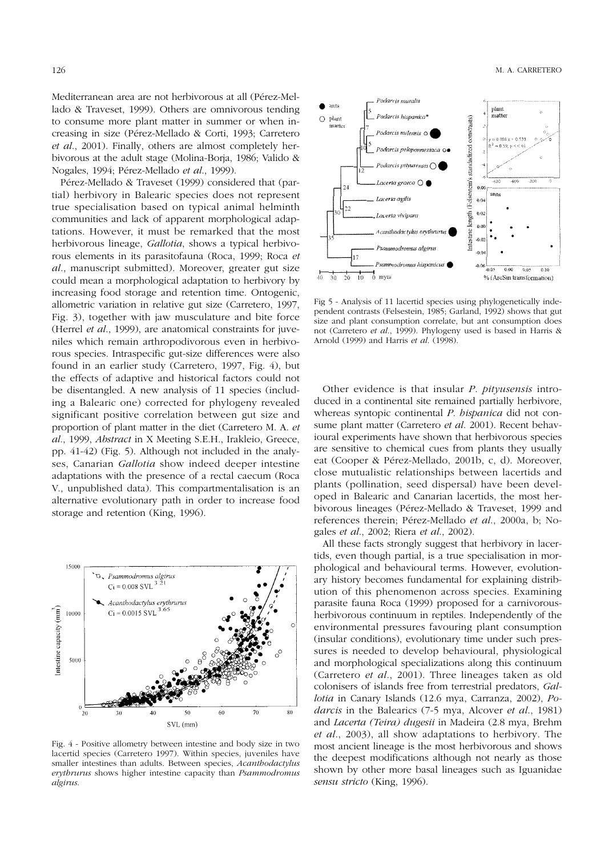Mediterranean area are not herbivorous at all (Pérez-Mellado & Traveset, 1999). Others are omnivorous tending to consume more plant matter in summer or when increasing in size (Pérez-Mellado & Corti, 1993; Carretero *et al*., 2001). Finally, others are almost completely herbivorous at the adult stage (Molina-Borja, 1986; Valido & Nogales, 1994; Pérez-Mellado *et al*., 1999).

Pérez-Mellado & Traveset (1999) considered that (partial) herbivory in Balearic species does not represent true specialisation based on typical animal helminth communities and lack of apparent morphological adaptations. However, it must be remarked that the most herbivorous lineage, *Gallotia*, shows a typical herbivorous elements in its parasitofauna (Roca, 1999; Roca *et al*., manuscript submitted). Moreover, greater gut size could mean a morphological adaptation to herbivory by increasing food storage and retention time. Ontogenic, allometric variation in relative gut size (Carretero, 1997, Fig. 3), together with jaw musculature and bite force (Herrel *et al*., 1999), are anatomical constraints for juveniles which remain arthropodivorous even in herbivorous species. Intraspecific gut-size differences were also found in an earlier study (Carretero, 1997, Fig. 4), but the effects of adaptive and historical factors could not be disentangled. A new analysis of 11 species (including a Balearic one) corrected for phylogeny revealed significant positive correlation between gut size and proportion of plant matter in the diet (Carretero M. A. *et al*., 1999, *Abstract* in X Meeting S.E.H., Irakleio, Greece, pp. 41-42) (Fig. 5). Although not included in the analyses, Canarian *Gallotia* show indeed deeper intestine adaptations with the presence of a rectal caecum (Roca V., unpublished data). This compartmentalisation is an alternative evolutionary path in order to increase food storage and retention (King, 1996).



Fig. 4 - Positive allometry between intestine and body size in two lacertid species (Carretero 1997). Within species, juveniles have smaller intestines than adults. Between species, *Acanthodactylus erythrurus* shows higher intestine capacity than *Psammodromus algirus*.



Fig 5 - Analysis of 11 lacertid species using phylogenetically independent contrasts (Felsestein, 1985; Garland, 1992) shows that gut size and plant consumption correlate, but ant consumption does not (Carretero *et al*., 1999). Phylogeny used is based in Harris & Arnold (1999) and Harris *et al*. (1998).

Other evidence is that insular *P*. *pityusensis* introduced in a continental site remained partially herbivore, whereas syntopic continental *P*. *hispanica* did not consume plant matter (Carretero *et al*. 2001). Recent behavioural experiments have shown that herbivorous species are sensitive to chemical cues from plants they usually eat (Cooper & Pérez-Mellado, 2001b, c, d). Moreover, close mutualistic relationships between lacertids and plants (pollination, seed dispersal) have been developed in Balearic and Canarian lacertids, the most herbivorous lineages (Pérez-Mellado & Traveset, 1999 and references therein; Pérez-Mellado *et al*., 2000a, b; Nogales *et al*., 2002; Riera *et al*., 2002).

All these facts strongly suggest that herbivory in lacertids, even though partial, is a true specialisation in morphological and behavioural terms. However, evolutionary history becomes fundamental for explaining distribution of this phenomenon across species. Examining parasite fauna Roca (1999) proposed for a carnivorousherbivorous continuum in reptiles. Independently of the environmental pressures favouring plant consumption (insular conditions), evolutionary time under such pressures is needed to develop behavioural, physiological and morphological specializations along this continuum (Carretero *et al*., 2001). Three lineages taken as old colonisers of islands free from terrestrial predators, *Gallotia* in Canary Islands (12.6 mya, Carranza, 2002), *Podarcis* in the Balearics (7-5 mya, Alcover *et al*., 1981) and *Lacerta (Teira) dugesii* in Madeira (2.8 mya, Brehm *et al*., 2003), all show adaptations to herbivory. The most ancient lineage is the most herbivorous and shows the deepest modifications although not nearly as those shown by other more basal lineages such as Iguanidae *sensu stricto* (King, 1996).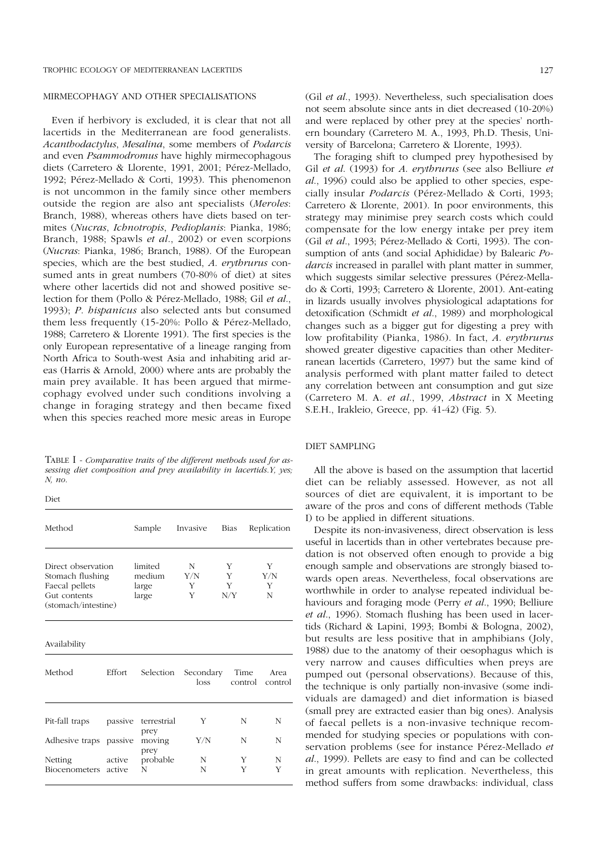## MIRMECOPHAGY AND OTHER SPECIALISATIONS

Even if herbivory is excluded, it is clear that not all lacertids in the Mediterranean are food generalists. *Acanthodactylus*, *Mesalina*, some members of *Podarcis* and even *Psammodromus* have highly mirmecophagous diets (Carretero & Llorente, 1991, 2001; Pérez-Mellado, 1992; Pérez-Mellado & Corti, 1993). This phenomenon is not uncommon in the family since other members outside the region are also ant specialists (*Meroles*: Branch, 1988), whereas others have diets based on termites (*Nucras*, *Ichnotropis*, *Pedioplanis*: Pianka, 1986; Branch, 1988; Spawls *et al*., 2002) or even scorpions (*Nucras*: Pianka, 1986; Branch, 1988). Of the European species, which are the best studied, *A*. *erythrurus* consumed ants in great numbers (70-80% of diet) at sites where other lacertids did not and showed positive selection for them (Pollo & Pérez-Mellado, 1988; Gil *et al*., 1993); *P*. *hispanicus* also selected ants but consumed them less frequently (15-20%: Pollo & Pérez-Mellado, 1988; Carretero & Llorente 1991). The first species is the only European representative of a lineage ranging from North Africa to South-west Asia and inhabiting arid areas (Harris & Arnold, 2000) where ants are probably the main prey available. It has been argued that mirmecophagy evolved under such conditions involving a change in foraging strategy and then became fixed when this species reached more mesic areas in Europe

TABLE I - *Comparative traits of the different methods used for assessing diet composition and prey availability in lacertids*.*Y, yes; N, no*.

Diet

| Method<br>Direct observation<br>Stomach flushing<br>Faecal pellets<br>Gut contents<br>(stomach/intestine) |                  | Sample                              | Invasive           | Bias               | Replication        |  |
|-----------------------------------------------------------------------------------------------------------|------------------|-------------------------------------|--------------------|--------------------|--------------------|--|
|                                                                                                           |                  | limited<br>medium<br>large<br>large | N<br>Y/N<br>Y<br>Y | Y<br>Y<br>Y<br>N/Y | Y<br>Y/N<br>Y<br>N |  |
| Availability                                                                                              |                  |                                     |                    |                    |                    |  |
| Method                                                                                                    | Effort           | Selection                           | Secondary<br>loss  | Time<br>control    | Area<br>control    |  |
| Pit-fall traps                                                                                            | passive          | terrestrial<br>prey                 | Y                  | N                  | N                  |  |
| Adhesive traps passive                                                                                    |                  | moving                              | Y/N                | N                  | N                  |  |
| Netting<br>Biocenometers                                                                                  | active<br>active | prey<br>probable<br>N               | N<br>N             | Y<br>Y             | N<br>Y             |  |

(Gil *et al*., 1993). Nevertheless, such specialisation does not seem absolute since ants in diet decreased (10-20%) and were replaced by other prey at the species' northern boundary (Carretero M. A., 1993, Ph.D. Thesis, University of Barcelona; Carretero & Llorente, 1993).

The foraging shift to clumped prey hypothesised by Gil *et al*. (1993) for *A*. *erythrurus* (see also Belliure *et al*., 1996) could also be applied to other species, especially insular *Podarcis* (Pérez-Mellado & Corti, 1993; Carretero & Llorente, 2001). In poor environments, this strategy may minimise prey search costs which could compensate for the low energy intake per prey item (Gil *et al*., 1993; Pérez-Mellado & Corti, 1993). The consumption of ants (and social Aphididae) by Balearic *Podarcis* increased in parallel with plant matter in summer, which suggests similar selective pressures (Pérez-Mellado & Corti, 1993; Carretero & Llorente, 2001). Ant-eating in lizards usually involves physiological adaptations for detoxification (Schmidt *et al*., 1989) and morphological changes such as a bigger gut for digesting a prey with low profitability (Pianka, 1986). In fact, *A*. *erythrurus* showed greater digestive capacities than other Mediterranean lacertids (Carretero, 1997) but the same kind of analysis performed with plant matter failed to detect any correlation between ant consumption and gut size (Carretero M. A. *et al*., 1999, *Abstract* in X Meeting S.E.H., Irakleio, Greece, pp. 41-42) (Fig. 5).

## DIET SAMPLING

All the above is based on the assumption that lacertid diet can be reliably assessed. However, as not all sources of diet are equivalent, it is important to be aware of the pros and cons of different methods (Table I) to be applied in different situations.

Despite its non-invasiveness, direct observation is less useful in lacertids than in other vertebrates because predation is not observed often enough to provide a big enough sample and observations are strongly biased towards open areas. Nevertheless, focal observations are worthwhile in order to analyse repeated individual behaviours and foraging mode (Perry *et al*., 1990; Belliure *et al*., 1996). Stomach flushing has been used in lacertids (Richard & Lapini, 1993; Bombi & Bologna, 2002), but results are less positive that in amphibians (Joly, 1988) due to the anatomy of their oesophagus which is very narrow and causes difficulties when preys are pumped out (personal observations). Because of this, the technique is only partially non-invasive (some individuals are damaged) and diet information is biased (small prey are extracted easier than big ones). Analysis of faecal pellets is a non-invasive technique recommended for studying species or populations with conservation problems (see for instance Pérez-Mellado *et al*., 1999). Pellets are easy to find and can be collected in great amounts with replication. Nevertheless, this method suffers from some drawbacks: individual, class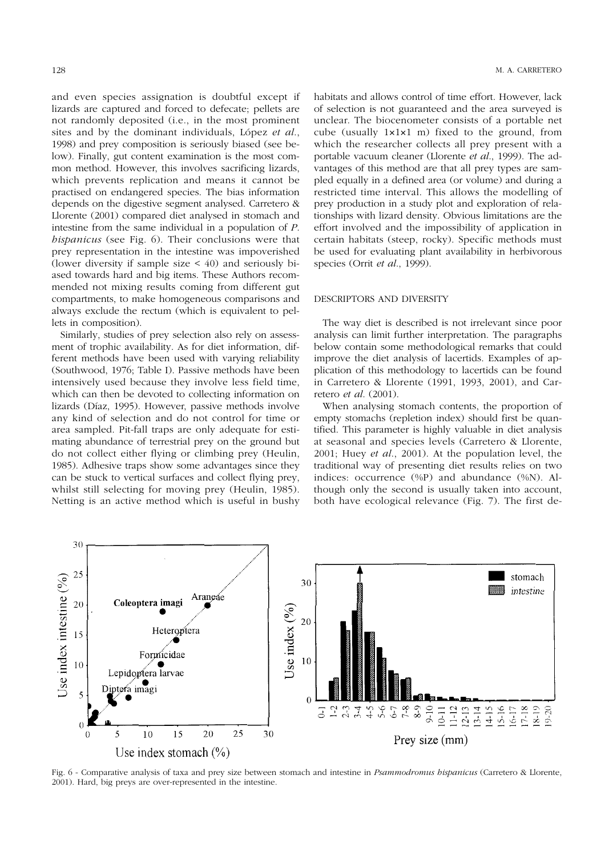and even species assignation is doubtful except if lizards are captured and forced to defecate; pellets are not randomly deposited (i.e., in the most prominent sites and by the dominant individuals, López *et al*., 1998) and prey composition is seriously biased (see below). Finally, gut content examination is the most common method. However, this involves sacrificing lizards, which prevents replication and means it cannot be practised on endangered species. The bias information depends on the digestive segment analysed. Carretero & Llorente (2001) compared diet analysed in stomach and intestine from the same individual in a population of *P*. *hispanicus* (see Fig. 6). Their conclusions were that prey representation in the intestine was impoverished (lower diversity if sample size  $\lt$  40) and seriously biased towards hard and big items. These Authors recommended not mixing results coming from different gut compartments, to make homogeneous comparisons and always exclude the rectum (which is equivalent to pellets in composition).

Similarly, studies of prey selection also rely on assessment of trophic availability. As for diet information, different methods have been used with varying reliability (Southwood, 1976; Table I). Passive methods have been intensively used because they involve less field time, which can then be devoted to collecting information on lizards (Díaz, 1995). However, passive methods involve any kind of selection and do not control for time or area sampled. Pit-fall traps are only adequate for estimating abundance of terrestrial prey on the ground but do not collect either flying or climbing prey (Heulin, 1985). Adhesive traps show some advantages since they can be stuck to vertical surfaces and collect flying prey, whilst still selecting for moving prey (Heulin, 1985). Netting is an active method which is useful in bushy habitats and allows control of time effort. However, lack of selection is not guaranteed and the area surveyed is unclear. The biocenometer consists of a portable net cube (usually 1×1×1 m) fixed to the ground, from which the researcher collects all prey present with a portable vacuum cleaner (Llorente *et al*., 1999). The advantages of this method are that all prey types are sampled equally in a defined area (or volume) and during a restricted time interval. This allows the modelling of prey production in a study plot and exploration of relationships with lizard density. Obvious limitations are the effort involved and the impossibility of application in certain habitats (steep, rocky). Specific methods must be used for evaluating plant availability in herbivorous species (Orrit *et al*., 1999).

### DESCRIPTORS AND DIVERSITY

The way diet is described is not irrelevant since poor analysis can limit further interpretation. The paragraphs below contain some methodological remarks that could improve the diet analysis of lacertids. Examples of application of this methodology to lacertids can be found in Carretero & Llorente (1991, 1993, 2001), and Carretero *et al*. (2001).

When analysing stomach contents, the proportion of empty stomachs (repletion index) should first be quantified. This parameter is highly valuable in diet analysis at seasonal and species levels (Carretero & Llorente, 2001; Huey *et al*., 2001). At the population level, the traditional way of presenting diet results relies on two indices: occurrence (%P) and abundance (%N). Although only the second is usually taken into account, both have ecological relevance (Fig. 7). The first de-



Fig. 6 - Comparative analysis of taxa and prey size between stomach and intestine in *Psammodromus hispanicus* (Carretero & Llorente, 2001). Hard, big preys are over-represented in the intestine.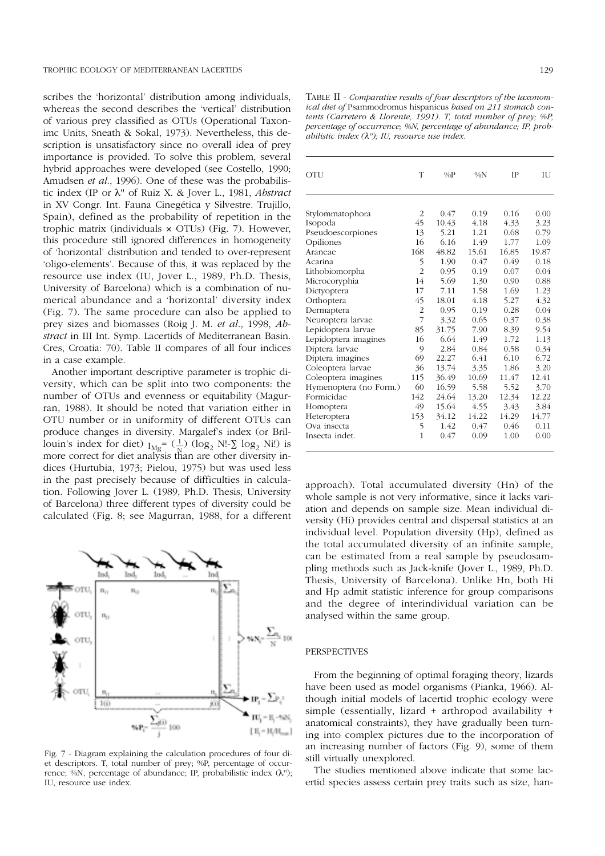scribes the 'horizontal' distribution among individuals, whereas the second describes the 'vertical' distribution of various prey classified as OTUs (Operational Taxonimc Units, Sneath & Sokal, 1973). Nevertheless, this description is unsatisfactory since no overall idea of prey importance is provided. To solve this problem, several hybrid approaches were developed (see Costello, 1990; Amudsen *et al*., 1996). One of these was the probabilistic index (IP or λ'' of Ruiz X. & Jover L., 1981, *Abstract* in XV Congr. Int. Fauna Cinegética y Silvestre. Trujillo, Spain), defined as the probability of repetition in the trophic matrix (individuals × OTUs) (Fig. 7). However, this procedure still ignored differences in homogeneity of 'horizontal' distribution and tended to over-represent 'oligo-elements'. Because of this, it was replaced by the resource use index (IU, Jover L., 1989, Ph.D. Thesis, University of Barcelona) which is a combination of numerical abundance and a 'horizontal' diversity index (Fig. 7). The same procedure can also be applied to prey sizes and biomasses (Roig J. M. *et al*., 1998, *Abstract* in III Int. Symp. Lacertids of Mediterranean Basin. Cres, Croatia: 70). Table II compares of all four indices in a case example.

Another important descriptive parameter is trophic diversity, which can be split into two components: the number of OTUs and evenness or equitability (Magurran, 1988). It should be noted that variation either in OTU number or in uniformity of different OTUs can produce changes in diversity. Margalef's index (or Brillouin's index for diet)  $I_{\text{Mg}}$ =  $(\frac{1}{\text{N}})$  (log<sub>2</sub> N!- $\sum$  log<sub>2</sub> Ni!) is more correct for diet analysis than are other diversity indices (Hurtubia, 1973; Pielou, 1975) but was used less in the past precisely because of difficulties in calculation. Following Jover L. (1989, Ph.D. Thesis, University of Barcelona) three different types of diversity could be calculated (Fig. 8; see Magurran, 1988, for a different  $\frac{1}{N}$ 



Fig. 7 - Diagram explaining the calculation procedures of four diet descriptors. T, total number of prey; %P, percentage of occurrence; %N, percentage of abundance; IP, probabilistic index  $(\lambda'')$ ; IU, resource use index.

TABLE II - *Comparative results of four descriptors of the taxonomical diet of* Psammodromus hispanicus *based on 211 stomach contents (Carretero & Llorente, 1991). T, total number of prey; %P, percentage of occurrence; %N, percentage of abundance; IP, probabilistic index (*λ*''); IU, resource use index.*

| OTU                    | T              | $\%P$ | $\%N$ | <b>IP</b> | ΠJ    |
|------------------------|----------------|-------|-------|-----------|-------|
|                        |                |       |       |           |       |
| Stylommatophora        | $\overline{2}$ | 0.47  | 0.19  | 0.16      | 0.00  |
| Isopoda                | 45             | 10.43 | 4.18  | 4.33      | 3.23  |
| Pseudoescorpiones      | 13             | 5.21  | 1.21  | 0.68      | 0.79  |
| Opiliones              | 16             | 6.16  | 1.49  | 1.77      | 1.09  |
| Araneae                | 168            | 48.82 | 15.61 | 16.85     | 19.87 |
| Acarina                | 5              | 1.90  | 0.47  | 0.49      | 0.18  |
| Lithobiomorpha         | $\overline{2}$ | 0.95  | 0.19  | 0.07      | 0.04  |
| Microcoryphia          | 14             | 5.69  | 1.30  | 0.90      | 0.88  |
| Dictyoptera            | 17             | 7.11  | 1.58  | 1.69      | 1.23  |
| Orthoptera             | 45             | 18.01 | 4.18  | 5.27      | 4.32  |
| Dermaptera             | $\overline{2}$ | 0.95  | 0.19  | 0.28      | 0.04  |
| Neuroptera larvae      | 7              | 3.32  | 0.65  | 0.37      | 0.38  |
| Lepidoptera larvae     | 85             | 31.75 | 7.90  | 8.39      | 9.54  |
| Lepidoptera imagines   | 16             | 6.64  | 1.49  | 1.72      | 1.13  |
| Diptera larvae         | 9              | 2.84  | 0.84  | 0.58      | 0.34  |
| Diptera imagines       | 69             | 22.27 | 6.41  | 6.10      | 6.72  |
| Coleoptera larvae      | 36             | 13.74 | 3.35  | 1.86      | 3.20  |
| Coleoptera imagines    | 115            | 36.49 | 10.69 | 11.47     | 12.41 |
| Hymenoptera (no Form.) | 60             | 16.59 | 5.58  | 5.52      | 3.70  |
| Formicidae             | 142            | 24.64 | 13.20 | 12.34     | 12.22 |
| Homoptera              | 49             | 15.64 | 4.55  | 3.43      | 3.84  |
| Heteroptera            | 153            | 34.12 | 14.22 | 14.29     | 14.77 |
| Ova insecta            | 5              | 1.42  | 0.47  | 0.46      | 0.11  |
| Insecta indet.         | 1              | 0.47  | 0.09  | 1.00      | 0.00  |
|                        |                |       |       |           |       |

approach). Total accumulated diversity (Hn) of the whole sample is not very informative, since it lacks variation and depends on sample size. Mean individual diversity (Hi) provides central and dispersal statistics at an individual level. Population diversity (Hp), defined as the total accumulated diversity of an infinite sample, can be estimated from a real sample by pseudosampling methods such as Jack-knife (Jover L., 1989, Ph.D. Thesis, University of Barcelona). Unlike Hn, both Hi and Hp admit statistic inference for group comparisons and the degree of interindividual variation can be analysed within the same group.

## PERSPECTIVES

From the beginning of optimal foraging theory, lizards have been used as model organisms (Pianka, 1966). Although initial models of lacertid trophic ecology were simple (essentially, lizard + arthropod availability + anatomical constraints), they have gradually been turning into complex pictures due to the incorporation of an increasing number of factors (Fig. 9), some of them still virtually unexplored.

The studies mentioned above indicate that some lacertid species assess certain prey traits such as size, han-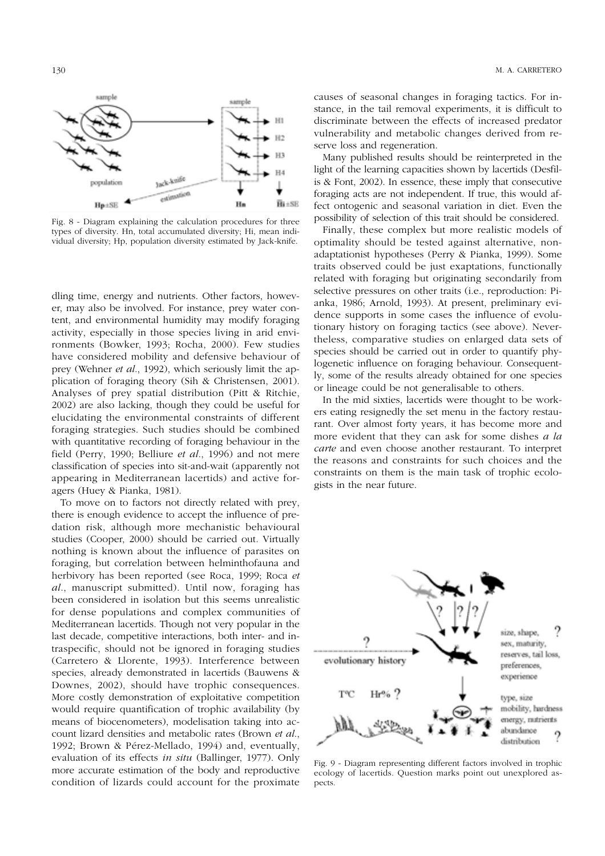

Fig. 8 - Diagram explaining the calculation procedures for three types of diversity. Hn, total accumulated diversity; Hi, mean individual diversity; Hp, population diversity estimated by Jack-knife.

dling time, energy and nutrients. Other factors, however, may also be involved. For instance, prey water content, and environmental humidity may modify foraging activity, especially in those species living in arid environments (Bowker, 1993; Rocha, 2000). Few studies have considered mobility and defensive behaviour of prey (Wehner *et al*., 1992), which seriously limit the application of foraging theory (Sih & Christensen, 2001). Analyses of prey spatial distribution (Pitt & Ritchie, 2002) are also lacking, though they could be useful for elucidating the environmental constraints of different foraging strategies. Such studies should be combined with quantitative recording of foraging behaviour in the field (Perry, 1990; Belliure *et al*., 1996) and not mere classification of species into sit-and-wait (apparently not appearing in Mediterranean lacertids) and active foragers (Huey & Pianka, 1981).

To move on to factors not directly related with prey, there is enough evidence to accept the influence of predation risk, although more mechanistic behavioural studies (Cooper, 2000) should be carried out. Virtually nothing is known about the influence of parasites on foraging, but correlation between helminthofauna and herbivory has been reported (see Roca, 1999; Roca *et al*., manuscript submitted). Until now, foraging has been considered in isolation but this seems unrealistic for dense populations and complex communities of Mediterranean lacertids. Though not very popular in the last decade, competitive interactions, both inter- and intraspecific, should not be ignored in foraging studies (Carretero & Llorente, 1993). Interference between species, already demonstrated in lacertids (Bauwens & Downes, 2002), should have trophic consequences. More costly demonstration of exploitative competition would require quantification of trophic availability (by means of biocenometers), modelisation taking into account lizard densities and metabolic rates (Brown *et al*., 1992; Brown & Pérez-Mellado, 1994) and, eventually, evaluation of its effects *in situ* (Ballinger, 1977). Only more accurate estimation of the body and reproductive condition of lizards could account for the proximate causes of seasonal changes in foraging tactics. For instance, in the tail removal experiments, it is difficult to discriminate between the effects of increased predator vulnerability and metabolic changes derived from reserve loss and regeneration.

Many published results should be reinterpreted in the light of the learning capacities shown by lacertids (Desfilis & Font, 2002). In essence, these imply that consecutive foraging acts are not independent. If true, this would affect ontogenic and seasonal variation in diet. Even the possibility of selection of this trait should be considered.

Finally, these complex but more realistic models of optimality should be tested against alternative, nonadaptationist hypotheses (Perry & Pianka, 1999). Some traits observed could be just exaptations, functionally related with foraging but originating secondarily from selective pressures on other traits (i.e., reproduction: Pianka, 1986; Arnold, 1993). At present, preliminary evidence supports in some cases the influence of evolutionary history on foraging tactics (see above). Nevertheless, comparative studies on enlarged data sets of species should be carried out in order to quantify phylogenetic influence on foraging behaviour. Consequently, some of the results already obtained for one species or lineage could be not generalisable to others.

In the mid sixties, lacertids were thought to be workers eating resignedly the set menu in the factory restaurant. Over almost forty years, it has become more and more evident that they can ask for some dishes *a la carte* and even choose another restaurant. To interpret the reasons and constraints for such choices and the constraints on them is the main task of trophic ecologists in the near future.



Fig. 9 - Diagram representing different factors involved in trophic ecology of lacertids. Question marks point out unexplored aspects.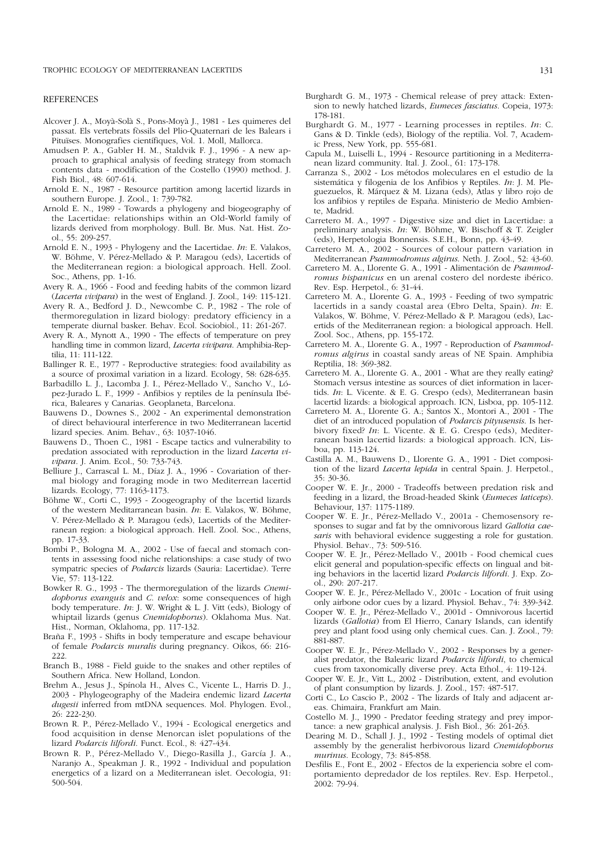#### REFERENCES

- Alcover J. A., Moyà-Solà S., Pons-Moyà J., 1981 Les quimeres del passat. Els vertebrats fòssils del Plio-Quaternari de les Balears i Pituïses. Monografies científiques, Vol. 1. Moll, Mallorca.
- Amudsen P. A., Gabler H. M., Staldvik F. J., 1996 A new approach to graphical analysis of feeding strategy from stomach contents data - modification of the Costello (1990) method. J. Fish Biol., 48: 607-614.
- Arnold E. N., 1987 Resource partition among lacertid lizards in southern Europe. J. Zool., 1: 739-782.
- Arnold E. N., 1989 Towards a phylogeny and biogeography of the Lacertidae: relationships within an Old-World family of lizards derived from morphology. Bull. Br. Mus. Nat. Hist. Zool., 55: 209-257.
- Arnold E. N., 1993 Phylogeny and the Lacertidae. *In*: E. Valakos, W. Böhme, V. Pérez-Mellado & P. Maragou (eds), Lacertids of the Mediterranean region: a biological approach. Hell. Zool. Soc., Athens, pp. 1-16.
- Avery R. A., 1966 Food and feeding habits of the common lizard (*Lacerta vivipara*) in the west of England. J. Zool.*,* 149: 115-121.
- Avery R. A., Bedford J. D., Newcombe C. P., 1982 The role of thermoregulation in lizard biology: predatory efficiency in a temperate diurnal basker. Behav. Ecol. Sociobiol., 11: 261-267.
- Avery R. A., Mynott A., 1990 The effects of temperature on prey handling time in common lizard, *Lacerta vivipara*. Amphibia-Reptilia, 11: 111-122.
- Ballinger R. E., 1977 Reproductive strategies: food availability as a source of proximal variation in a lizard. Ecology, 58: 628-635.
- Barbadillo L. J., Lacomba J. I., Pérez-Mellado V., Sancho V., López-Jurado L. F., 1999 - Anfibios y reptiles de la península Ibérica, Baleares y Canarias. Geoplaneta, Barcelona.
- Bauwens D., Downes S., 2002 An experimental demonstration of direct behavioural interference in two Mediterranean lacertid lizard species. Anim. Behav., 63: 1037-1046.
- Bauwens D., Thoen C., 1981 Escape tactics and vulnerability to predation associated with reproduction in the lizard *Lacerta vivipara*. J. Anim. Ecol., 50: 733-743.
- Belliure J., Carrascal L. M., Díaz J. A., 1996 Covariation of thermal biology and foraging mode in two Mediterrean lacertid lizards. Ecology, 77: 1163-1173.
- Böhme W., Corti C., 1993 Zoogeography of the lacertid lizards of the western Meditarranean basin. *In*: E. Valakos, W. Böhme, V. Pérez-Mellado & P. Maragou (eds), Lacertids of the Mediterranean region: a biological approach. Hell. Zool. Soc., Athens, pp. 17-33.
- Bombi P., Bologna M. A., 2002 Use of faecal and stomach contents in assessing food niche relationships: a case study of two sympatric species of *Podarcis* lizards (Sauria: Lacertidae). Terre Vie, 57: 113-122.
- Bowker R. G., 1993 The thermoregulation of the lizards *Cnemidophorus exanguis* and *C*. *velox*: some consequences of high body temperature. *In*: J. W. Wright & L. J. Vitt (eds), Biology of whiptail lizards (genus *Cnemidophorus*). Oklahoma Mus. Nat. Hist., Norman, Oklahoma, pp. 117-132.
- Braña F., 1993 Shifts in body temperature and escape behaviour of female *Podarcis muralis* during pregnancy. Oikos, 66: 216- 222.
- Branch B., 1988 Field guide to the snakes and other reptiles of Southern Africa. New Holland, London.
- Brehm A., Jesus J., Spínola H., Alves C., Vicente L., Harris D. J., 2003 - Phylogeography of the Madeira endemic lizard *Lacerta dugesii* inferred from mtDNA sequences. Mol. Phylogen. Evol., 26: 222-230.
- Brown R. P., Pérez-Mellado V., 1994 Ecological energetics and food acquisition in dense Menorcan islet populations of the lizard *Podarcis lilfordi*. Funct. Ecol., 8: 427-434.
- Brown R. P., Pérez-Mellado V., Diego-Rasilla J., García J. A., Naranjo A., Speakman J. R., 1992 - Individual and population energetics of a lizard on a Mediterranean islet. Oecologia, 91: 500-504.
- Burghardt G. M., 1973 Chemical release of prey attack: Extension to newly hatched lizards, *Eumeces fasciatus*. Copeia, 1973: 178-181.
- Burghardt G. M., 1977 Learning processes in reptiles. *In*: C. Gans & D. Tinkle (eds), Biology of the reptilia. Vol. 7, Academic Press, New York, pp. 555-681.
- Capula M., Luiselli L., 1994 Resource partitioning in a Mediterranean lizard community. Ital. J. Zool., 61: 173-178.
- Carranza S., 2002 Los métodos moleculares en el estudio de la sistemática y filogenia de los Anfibios y Reptiles. *In*: J. M. Pleguezuelos, R. Márquez & M. Lizana (eds), Atlas y libro rojo de los anfibios y reptiles de España. Ministerio de Medio Ambiente, Madrid.
- Carretero M. A., 1997 Digestive size and diet in Lacertidae: a preliminary analysis. *In*: W. Böhme, W. Bischoff & T. Zeigler (eds), Herpetologia Bonnensis. S.E.H., Bonn, pp. 43-49.
- Carretero M. A., 2002 Sources of colour pattern variation in Mediterranean *Psammodromus algirus*. Neth. J. Zool., 52: 43-60.
- Carretero M. A., Llorente G. A., 1991 Alimentación de *Psammodromus hispanicus* en un arenal costero del nordeste ibérico. Rev. Esp. Herpetol., 6: 31-44.
- Carretero M. A., Llorente G. A., 1993 Feeding of two sympatric lacertids in a sandy coastal area (Ebro Delta, Spain). *In*: E. Valakos, W. Böhme, V. Pérez-Mellado & P. Maragou (eds), Lacertids of the Mediterranean region: a biological approach. Hell. Zool. Soc., Athens, pp. 155-172.
- Carretero M. A., Llorente G. A., 1997 Reproduction of *Psammodromus algirus* in coastal sandy areas of NE Spain. Amphibia Reptilia, 18: 369-382.
- Carretero M. A., Llorente G. A., 2001 What are they really eating? Stomach versus intestine as sources of diet information in lacertids. *In*: L. Vicente. & E. G. Crespo (eds), Mediterranean basin lacertid lizards: a biological approach. ICN, Lisboa, pp. 105-112.
- Carretero M. A., Llorente G. A.; Santos X., Montori A., 2001 The diet of an introduced population of *Podarcis pityusensis*. Is herbivory fixed? *In*: L. Vicente. & E. G. Crespo (eds), Mediterranean basin lacertid lizards: a biological approach. ICN, Lisboa, pp. 113-124.
- Castilla A. M., Bauwens D., Llorente G. A., 1991 Diet composition of the lizard *Lacerta lepida* in central Spain. J. Herpetol., 35: 30-36.
- Cooper W. E. Jr., 2000 Tradeoffs between predation risk and feeding in a lizard, the Broad-headed Skink (*Eumeces laticeps*). Behaviour, 137: 1175-1189.
- Cooper W. E. Jr., Pérez-Mellado V., 2001a Chemosensory responses to sugar and fat by the omnivorous lizard *Gallotia caesaris* with behavioral evidence suggesting a role for gustation. Physiol. Behav., 73: 509-516.
- Cooper W. E. Jr., Pérez-Mellado V., 2001b Food chemical cues elicit general and population-specific effects on lingual and biting behaviors in the lacertid lizard *Podarcis lilfordi*. J. Exp. Zool., 290: 207-217.
- Cooper W. E. Jr., Pérez-Mellado V., 2001c Location of fruit using only airbone odor cues by a lizard. Physiol. Behav., 74: 339-342.
- Cooper W. E. Jr., Pérez-Mellado V., 2001d Omnivorous lacertid lizards (*Gallotia*) from El Hierro, Canary Islands, can identify prey and plant food using only chemical cues. Can. J. Zool., 79: 881-887.
- Cooper W. E. Jr., Pérez-Mellado V., 2002 Responses by a generalist predator, the Balearic lizard *Podarcis lilfordi*, to chemical cues from taxonomically diverse prey. Acta Ethol., 4: 119-124.
- Cooper W. E. Jr., Vitt L.*,* 2002 Distribution, extent, and evolution of plant consumption by lizards. J. Zool., 157: 487-517.
- Corti C., Lo Cascio P., 2002 The lizards of Italy and adjacent areas. Chimaira, Frankfurt am Main.
- Costello M. J., 1990 Predator feeding strategy and prey importance: a new graphical analysis. J. Fish Biol., 36: 261-263.
- Dearing M. D., Schall J. J., 1992 Testing models of optimal diet assembly by the generalist herbivorous lizard *Cnemidophorus murinus*. Ecology, 73: 845-858.
- Desfilis E., Font E., 2002 Efectos de la experiencia sobre el comportamiento depredador de los reptiles. Rev. Esp. Herpetol., 2002: 79-94.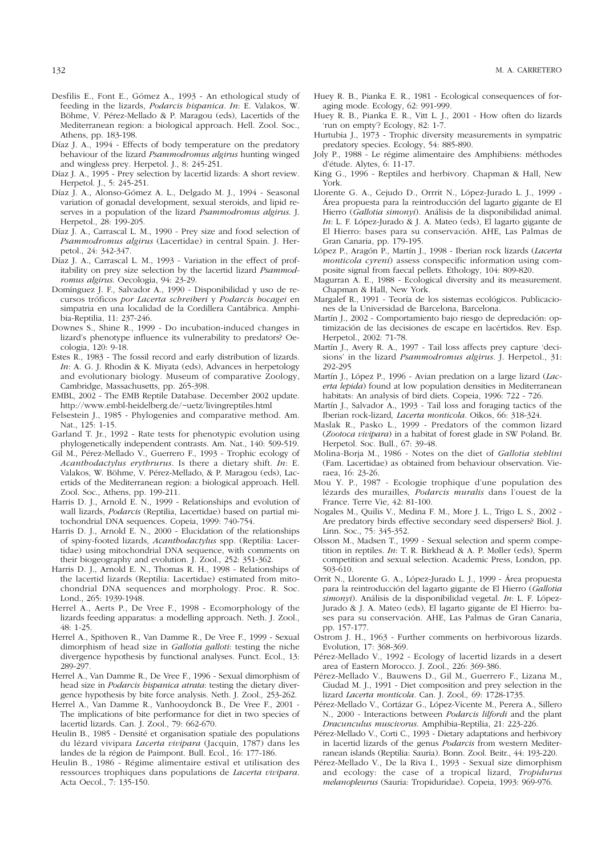- Desfilis E., Font E., Gómez A., 1993 An ethological study of feeding in the lizards, *Podarcis hispanica*. *In*: E. Valakos, W. Böhme, V. Pérez-Mellado & P. Maragou (eds), Lacertids of the Mediterranean region: a biological approach. Hell. Zool. Soc., Athens, pp. 183-198.
- Díaz J. A., 1994 Effects of body temperature on the predatory behaviour of the lizard *Psammodromus algirus* hunting winged and wingless prey. Herpetol. J., 8: 245-251.
- Díaz J. A., 1995 Prey selection by lacertid lizards: A short review. Herpetol. J., 5: 245-251.
- Díaz J. A., Alonso-Gómez A. L., Delgado M. J., 1994 Seasonal variation of gonadal development, sexual steroids, and lipid reserves in a population of the lizard *Psammodromus algirus*. J. Herpetol., 28: 199-205.
- Díaz I. A., Carrascal L. M., 1990 Prev size and food selection of *Psammodromus algirus* (Lacertidae) in central Spain. J. Herpetol., 24: 342-347.
- Díaz J. A., Carrascal L. M., 1993 Variation in the effect of profitability on prey size selection by the lacertid lizard *Psammodromus algirus*. Oecologia, 94: 23-29.
- Domínguez J. F., Salvador A., 1990 Disponibilidad y uso de recursos tróficos *por Lacerta schreiberi* y *Podarcis bocagei* en simpatria en una localidad de la Cordillera Cantábrica. Amphibia-Reptilia, 11: 237-246.
- Downes S., Shine R., 1999 Do incubation-induced changes in lizard's phenotype influence its vulnerability to predators? Oecologia, 120: 9-18.
- Estes R., 1983 The fossil record and early distribution of lizards. *In*: A. G. J. Rhodin & K. Miyata (eds), Advances in herpetology and evolutionary biology. Museum of comparative Zoology, Cambridge, Massachusetts, pp. 265-398.
- EMBL, 2002 The EMB Reptile Database. December 2002 update. http://www.embl-heidelberg.de/~uetz/livingreptiles.html
- Felsestein J., 1985 Phylogenies and comparative method. Am. Nat., 125: 1-15.
- Garland T. Jr., 1992 Rate tests for phenotypic evolution using phylogenetically independent contrasts. Am. Nat., 140: 509-519.
- Gil M., Pérez-Mellado V., Guerrero F., 1993 Trophic ecology of *Acanthodactylus erythrurus*. Is there a dietary shift. *In*: E. Valakos, W. Böhme, V. Pérez-Mellado, & P. Maragou (eds), Lacertids of the Mediterranean region: a biological approach. Hell. Zool. Soc., Athens, pp. 199-211.
- Harris D. J., Arnold E. N., 1999 Relationships and evolution of wall lizards, *Podarcis* (Reptilia, Lacertidae) based on partial mitochondrial DNA sequences. Copeia, 1999: 740-754.
- Harris D. J., Arnold E. N., 2000 Elucidation of the relationships of spiny-footed lizards, *Acanthodactylus* spp. (Reptilia: Lacertidae) using mitochondrial DNA sequence, with comments on their biogeography and evolution. J. Zool., 252: 351-362.
- Harris D. J., Arnold E. N., Thomas R. H., 1998 Relationships of the lacertid lizards (Reptilia: Lacertidae) estimated from mitochondrial DNA sequences and morphology. Proc. R. Soc. Lond., 265: 1939-1948.
- Herrel A., Aerts P., De Vree F., 1998 Ecomorphology of the lizards feeding apparatus: a modelling approach. Neth. J. Zool., 48: 1-25.
- Herrel A., Spithoven R., Van Damme R., De Vree F., 1999 Sexual dimorphism of head size in *Gallotia galloti*: testing the niche divergence hypothesis by functional analyses. Funct. Ecol., 13: 289-297.
- Herrel A., Van Damme R., De Vree F., 1996 Sexual dimorphism of head size in *Podarcis hispanica atrata*: testing the dietary divergence hypothesis by bite force analysis. Neth. J. Zool.*,* 253-262.
- Herrel A., Van Damme R., Vanhooydonck B., De Vree F., 2001 The implications of bite performance for diet in two species of lacertid lizards. Can. J. Zool., 79: 662-670.
- Heulin B., 1985 Densité et organisation spatiale des populations du lézard vivipara *Lacerta vivipara* (Jacquin, 1787) dans les landes de la région de Paimpont. Bull. Ecol., 16: 177-186.
- Heulin B., 1986 Régime alimentaire estival et utilisation des ressources trophiques dans populations de *Lacerta vivipara*. Acta Oecol., 7: 135-150.
- Huey R. B., Pianka E. R., 1981 Ecological consequences of foraging mode. Ecology, 62: 991-999.
- Huey R. B., Pianka E. R., Vitt L. J., 2001 How often do lizards 'run on empty'? Ecology, 82: 1-7.
- Hurtubia J., 1973 Trophic diversity measurements in sympatric predatory species. Ecology, 54: 885-890.
- Joly P., 1988 Le régime alimentaire des Amphibiens: méthodes d'étude. Alytes, 6: 11-17.
- King G., 1996 Reptiles and herbivory. Chapman & Hall, New York.
- Llorente G. A., Cejudo D., Orrrit N., López-Jurado L. J., 1999 Área propuesta para la reintroducción del lagarto gigante de El Hierro (*Gallotia simonyi*). Análisis de la disponibilidad animal. *In*: L. F. López-Jurado & J. A. Mateo (eds), El lagarto gigante de El Hierro: bases para su conservación. AHE, Las Palmas de Gran Canaria, pp. 179-195.
- López P., Aragón P., Martín J., 1998 Iberian rock lizards (*Lacerta monticola cyreni*) assess conspecific information using composite signal from faecal pellets. Ethology, 104: 809-820.
- Magurran A. E., 1988 Ecological diversity and its measurement. Chapman & Hall, New York.
- Margalef R., 1991 Teoría de los sistemas ecológicos. Publicaciones de la Universidad de Barcelona, Barcelona.
- Martín J., 2002 Comportamiento bajo riesgo de depredación: optimización de las decisiones de escape en lacértidos. Rev. Esp. Herpetol., 2002: 71-78.
- Martín J., Avery R. A., 1997 Tail loss affects prey capture 'decisions' in the lizard *Psammodromus algirus*. J. Herpetol., 31: 292-295
- Martín J., López P., 1996 Avian predation on a large lizard (*Lacerta lepida*) found at low population densities in Mediterranean habitats: An analysis of bird diets. Copeia, 1996: 722 - 726.
- Martín J., Salvador A., 1993 Tail loss and foraging tactics of the Iberian rock-lizard*, Lacerta monticola*. Oikos, 66: 318-324.
- Maslak R., Pasko L., 1999 Predators of the common lizard (*Zootoca vivipara*) in a habitat of forest glade in SW Poland. Br. Herpetol. Soc. Bull., 67: 39-48.
- Molina-Borja M., 1986 Notes on the diet of *Gallotia stehlini* (Fam. Lacertidae) as obtained from behaviour observation. Vieraea, 16: 23-26.
- Mou Y. P., 1987 Ecologie trophique d'une population des lézards des murailles*, Podarcis muralis* dans l'ouest de la France. Terre Vie, 42: 81-100.
- Nogales M., Quilis V., Medina F. M., More J. L., Trigo L. S., 2002 Are predatory birds effective secondary seed dispersers? Biol. J. Linn. Soc., 75: 345-352.
- Olsson M., Madsen T., 1999 Sexual selection and sperm competition in reptiles. *In*: T. R. Birkhead & A. P. Møller (eds), Sperm competition and sexual selection. Academic Press, London, pp. 503-610.
- Orrit N., Llorente G. A., López-Jurado L. J., 1999 Área propuesta para la reintroducción del lagarto gigante de El Hierro (*Gallotia simonyi*). Análisis de la disponibilidad vegetal. *In*: L. F. López-Jurado & J. A. Mateo (eds), El lagarto gigante de El Hierro: bases para su conservación. AHE, Las Palmas de Gran Canaria, pp. 157-177.
- Ostrom J. H., 1963 Further comments on herbivorous lizards. Evolution, 17: 368-369.
- Pérez-Mellado V., 1992 Ecology of lacertid lizards in a desert area of Eastern Morocco. J. Zool., 226: 369-386.
- Pérez-Mellado V., Bauwens D., Gil M., Guerrero F., Lizana M., Ciudad M. J., 1991 - Diet composition and prey selection in the lizard *Lacerta monticola*. Can. J. Zool.*,* 69: 1728-1735.
- Pérez-Mellado V., Cortázar G., López-Vicente M., Perera A., Sillero N., 2000 - Interactions between *Podarcis lilfordi* and the plant *Dracunculus muscivorus*. Amphibia-Reptilia, 21: 223-226.
- Pérez-Mellado V., Corti C., 1993 Dietary adaptations and herbivory in lacertid lizards of the genus *Podarcis* from western Mediterranean islands (Reptilia: Sauria). Bonn. Zool. Beitr., 44: 193-220.
- Pérez-Mellado V., De la Riva I., 1993 Sexual size dimorphism and ecology: the case of a tropical lizard, *Tropidurus melanopleurus* (Sauria: Tropiduridae). Copeia, 1993: 969-976.